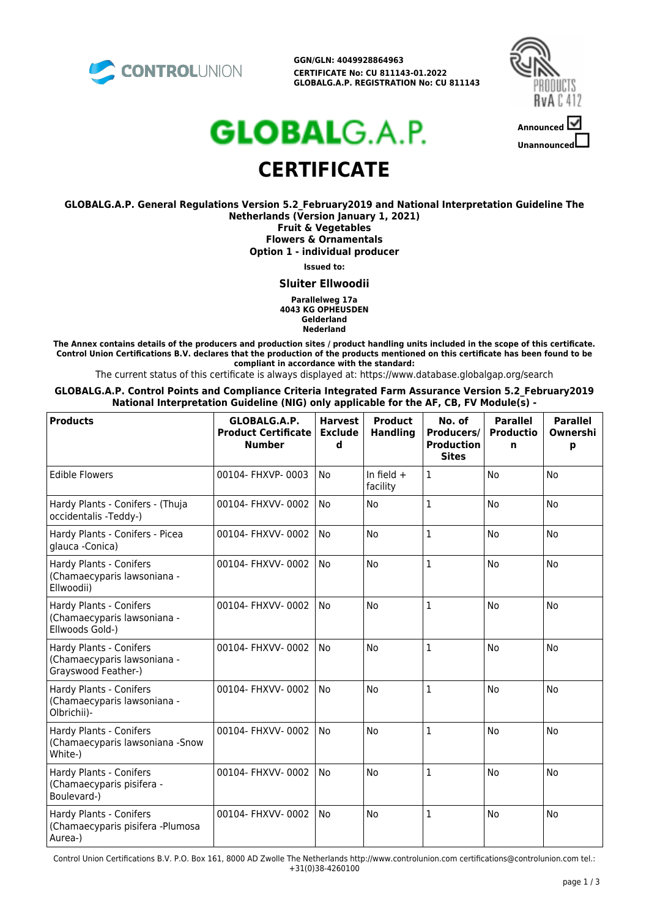

**GGN/GLN: 4049928864963 CERTIFICATE No: CU 811143-01.2022 GLOBALG.A.P. REGISTRATION No: CU 811143**



# **GLOBAL**G.A.P. **CERTIFICATE**

**GLOBALG.A.P. General Regulations Version 5.2\_February2019 and National Interpretation Guideline The Netherlands (Version January 1, 2021) Fruit & Vegetables Flowers & Ornamentals Option 1 - individual producer**

**Issued to:**

**Sluiter Ellwoodii**

**Parallelweg 17a 4043 KG OPHEUSDEN Gelderland Nederland**

**The Annex contains details of the producers and production sites / product handling units included in the scope of this certificate. Control Union Certifications B.V. declares that the production of the products mentioned on this certificate has been found to be compliant in accordance with the standard:**

The current status of this certificate is always displayed at: https://www.database.globalgap.org/search

**GLOBALG.A.P. Control Points and Compliance Criteria Integrated Farm Assurance Version 5.2\_February2019 National Interpretation Guideline (NIG) only applicable for the AF, CB, FV Module(s) -**

| <b>Products</b>                                                               | GLOBALG.A.P.<br><b>Product Certificate</b><br><b>Number</b> | <b>Harvest</b><br><b>Exclude</b><br>d | <b>Product</b><br><b>Handling</b> | No. of<br>Producers/<br><b>Production</b><br><b>Sites</b> | <b>Parallel</b><br><b>Productio</b><br>n | <b>Parallel</b><br>Ownershi<br>р |
|-------------------------------------------------------------------------------|-------------------------------------------------------------|---------------------------------------|-----------------------------------|-----------------------------------------------------------|------------------------------------------|----------------------------------|
| <b>Edible Flowers</b>                                                         | 00104- FHXVP-0003                                           | <b>No</b>                             | In field $+$<br>facility          | $\mathbf{1}$                                              | <b>No</b>                                | <b>No</b>                        |
| Hardy Plants - Conifers - (Thuja<br>occidentalis -Teddy-)                     | 00104- FHXVV-0002                                           | <b>No</b>                             | <b>No</b>                         | $\mathbf{1}$                                              | <b>No</b>                                | <b>No</b>                        |
| Hardy Plants - Conifers - Picea<br>glauca - Conica)                           | 00104- FHXVV-0002                                           | <b>No</b>                             | <b>No</b>                         | $\mathbf{1}$                                              | <b>No</b>                                | <b>No</b>                        |
| Hardy Plants - Conifers<br>(Chamaecyparis lawsoniana -<br>Ellwoodii)          | 00104- FHXVV-0002                                           | <b>No</b>                             | <b>No</b>                         | 1                                                         | <b>No</b>                                | <b>No</b>                        |
| Hardy Plants - Conifers<br>(Chamaecyparis lawsoniana -<br>Ellwoods Gold-)     | 00104- FHXVV-0002                                           | <b>No</b>                             | <b>No</b>                         | $\mathbf{1}$                                              | <b>No</b>                                | <b>No</b>                        |
| Hardy Plants - Conifers<br>(Chamaecyparis lawsoniana -<br>Grayswood Feather-) | 00104- FHXVV-0002                                           | No                                    | <b>No</b>                         | $\mathbf{1}$                                              | No                                       | No                               |
| Hardy Plants - Conifers<br>(Chamaecyparis lawsoniana -<br>Olbrichii)-         | 00104- FHXVV-0002                                           | <b>No</b>                             | <b>No</b>                         | $\mathbf{1}$                                              | <b>No</b>                                | <b>No</b>                        |
| Hardy Plants - Conifers<br>(Chamaecyparis lawsoniana - Snow<br>White-)        | 00104- FHXVV-0002                                           | <b>No</b>                             | <b>No</b>                         | $\mathbf{1}$                                              | <b>No</b>                                | <b>No</b>                        |
| Hardy Plants - Conifers<br>(Chamaecyparis pisifera -<br>Boulevard-)           | 00104- FHXVV-0002                                           | <b>No</b>                             | <b>No</b>                         | 1                                                         | <b>No</b>                                | <b>No</b>                        |
| Hardy Plants - Conifers<br>(Chamaecyparis pisifera -Plumosa<br>Aurea-)        | 00104- FHXVV-0002                                           | <b>No</b>                             | <b>No</b>                         | 1                                                         | <b>No</b>                                | No                               |

Control Union Certifications B.V. P.O. Box 161, 8000 AD Zwolle The Netherlands http://www.controlunion.com certifications@controlunion.com tel.: +31(0)38-4260100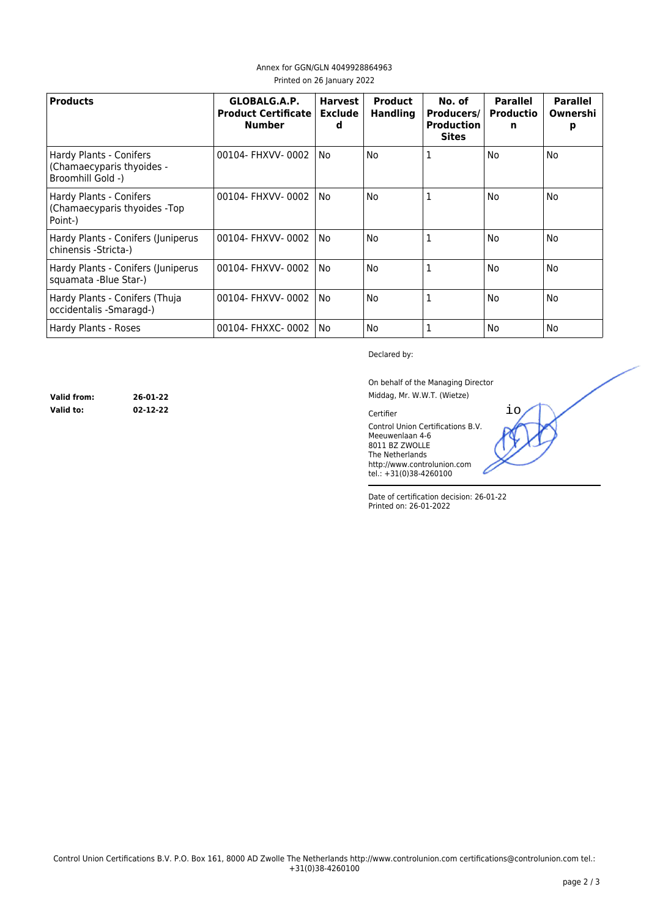| <b>Products</b>                                                           | GLOBALG.A.P.<br><b>Product Certificate</b><br><b>Number</b> | <b>Harvest</b><br><b>Exclude</b><br>d | <b>Product</b><br><b>Handling</b> | No. of<br><b>Producers/</b><br><b>Production</b><br><b>Sites</b> | <b>Parallel</b><br><b>Productio</b><br>n | <b>Parallel</b><br>Ownershi<br>р |
|---------------------------------------------------------------------------|-------------------------------------------------------------|---------------------------------------|-----------------------------------|------------------------------------------------------------------|------------------------------------------|----------------------------------|
| Hardy Plants - Conifers<br>(Chamaecyparis thyoides -<br>Broomhill Gold -) | 00104- FHXVV-0002                                           | No                                    | No                                | 1                                                                | No                                       | No                               |
| Hardy Plants - Conifers<br>(Chamaecyparis thyoides -Top)<br>Point-)       | 00104- FHXVV-0002                                           | No                                    | No                                | 1                                                                | No                                       | No                               |
| Hardy Plants - Conifers (Juniperus<br>chinensis -Stricta-)                | 00104- FHXVV-0002                                           | No                                    | No                                | $\mathbf{1}$                                                     | No                                       | No                               |
| Hardy Plants - Conifers (Juniperus<br>squamata -Blue Star-)               | 00104- FHXVV-0002                                           | No                                    | No                                |                                                                  | No                                       | No                               |
| Hardy Plants - Conifers (Thuja<br>occidentalis - Smaragd-)                | 00104- FHXVV-0002                                           | No                                    | No                                | 1                                                                | No                                       | No                               |
| Hardy Plants - Roses                                                      | 00104- FHXXC- 0002                                          | No                                    | No                                |                                                                  | No                                       | No                               |

### Annex for GGN/GLN 4049928864963 Printed on 26 January 2022

Declared by:

On behalf of the Managing Director Middag, Mr. W.W.T. (Wietze)

io

Certifier

Control Union Certifications B.V. Meeuwenlaan 4-6 8011 BZ ZWOLLE The Netherlands http://www.controlunion.com tel.: +31(0)38-4260100

Date of certification decision: 26-01-22 Printed on: 26-01-2022

**Valid from: 26-01-22 Valid to: 02-12-22**